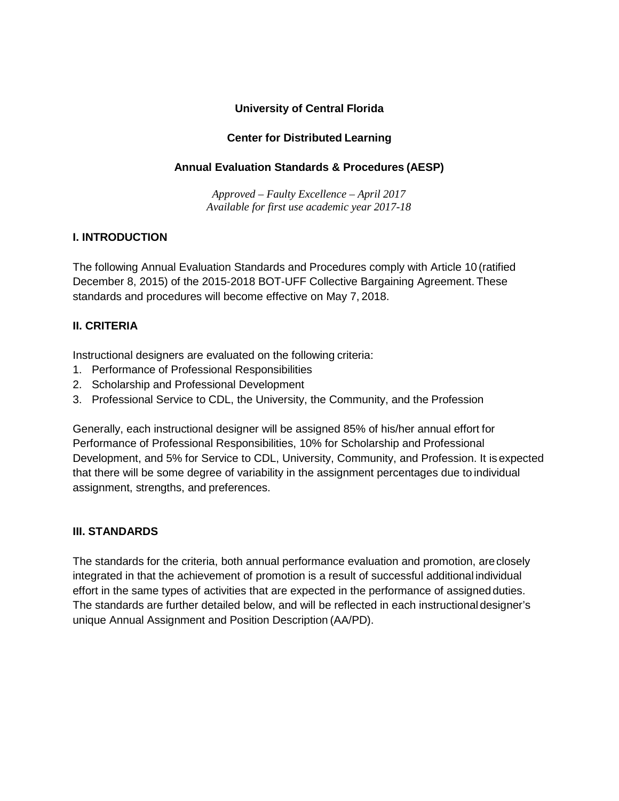#### **University of Central Florida**

### **Center for Distributed Learning**

#### **Annual Evaluation Standards & Procedures (AESP)**

*Approved – Faulty Excellence – April 2017 Available for first use academic year 2017-18*

#### **I. INTRODUCTION**

The following Annual Evaluation Standards and Procedures comply with Article 10 (ratified December 8, 2015) of the 2015-2018 BOT-UFF Collective Bargaining Agreement. These standards and procedures will become effective on May 7, 2018.

#### **II. CRITERIA**

Instructional designers are evaluated on the following criteria:

- 1. Performance of Professional Responsibilities
- 2. Scholarship and Professional Development
- 3. Professional Service to CDL, the University, the Community, and the Profession

Generally, each instructional designer will be assigned 85% of his/her annual effort for Performance of Professional Responsibilities, 10% for Scholarship and Professional Development, and 5% for Service to CDL, University, Community, and Profession. It isexpected that there will be some degree of variability in the assignment percentages due to individual assignment, strengths, and preferences.

#### **III. STANDARDS**

The standards for the criteria, both annual performance evaluation and promotion, areclosely integrated in that the achievement of promotion is a result of successful additional individual effort in the same types of activities that are expected in the performance of assignedduties. The standards are further detailed below, and will be reflected in each instructional designer's unique Annual Assignment and Position Description (AA/PD).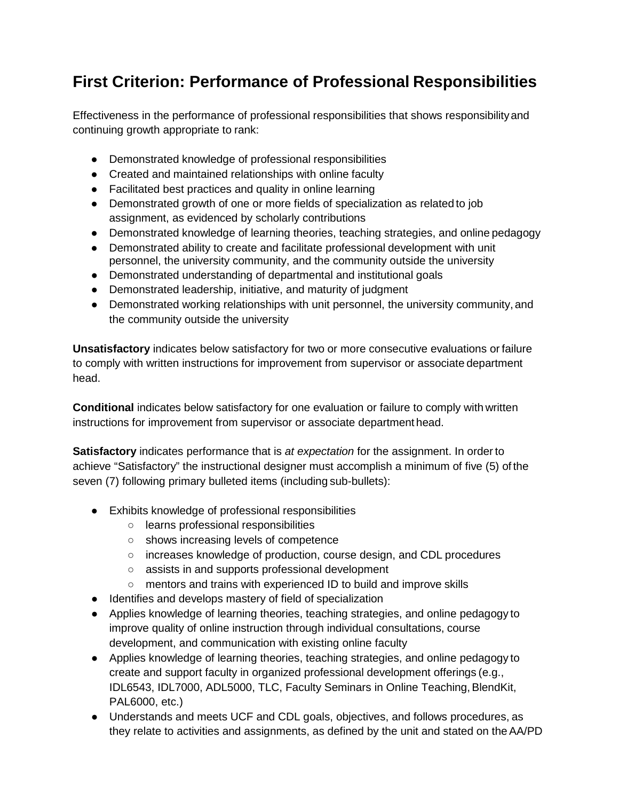## **First Criterion: Performance of Professional Responsibilities**

Effectiveness in the performance of professional responsibilities that shows responsibilityand continuing growth appropriate to rank:

- Demonstrated knowledge of professional responsibilities
- Created and maintained relationships with online faculty
- Facilitated best practices and quality in online learning
- Demonstrated growth of one or more fields of specialization as related to job assignment, as evidenced by scholarly contributions
- Demonstrated knowledge of learning theories, teaching strategies, and online pedagogy
- Demonstrated ability to create and facilitate professional development with unit personnel, the university community, and the community outside the university
- Demonstrated understanding of departmental and institutional goals
- Demonstrated leadership, initiative, and maturity of judgment
- Demonstrated working relationships with unit personnel, the university community, and the community outside the university

**Unsatisfactory** indicates below satisfactory for two or more consecutive evaluations or failure to comply with written instructions for improvement from supervisor or associate department head.

**Conditional** indicates below satisfactory for one evaluation or failure to comply with written instructions for improvement from supervisor or associate department head.

**Satisfactory** indicates performance that is *at expectation* for the assignment. In order to achieve "Satisfactory" the instructional designer must accomplish a minimum of five (5) of the seven (7) following primary bulleted items (including sub-bullets):

- Exhibits knowledge of professional responsibilities
	- learns professional responsibilities
	- shows increasing levels of competence
	- increases knowledge of production, course design, and CDL procedures
	- assists in and supports professional development
	- mentors and trains with experienced ID to build and improve skills
- Identifies and develops mastery of field of specialization
- Applies knowledge of learning theories, teaching strategies, and online pedagogy to improve quality of online instruction through individual consultations, course development, and communication with existing online faculty
- Applies knowledge of learning theories, teaching strategies, and online pedagogy to create and support faculty in organized professional development offerings (e.g., IDL6543, IDL7000, ADL5000, TLC, Faculty Seminars in Online Teaching, BlendKit, PAL6000, etc.)
- Understands and meets UCF and CDL goals, objectives, and follows procedures, as they relate to activities and assignments, as defined by the unit and stated on theAA/PD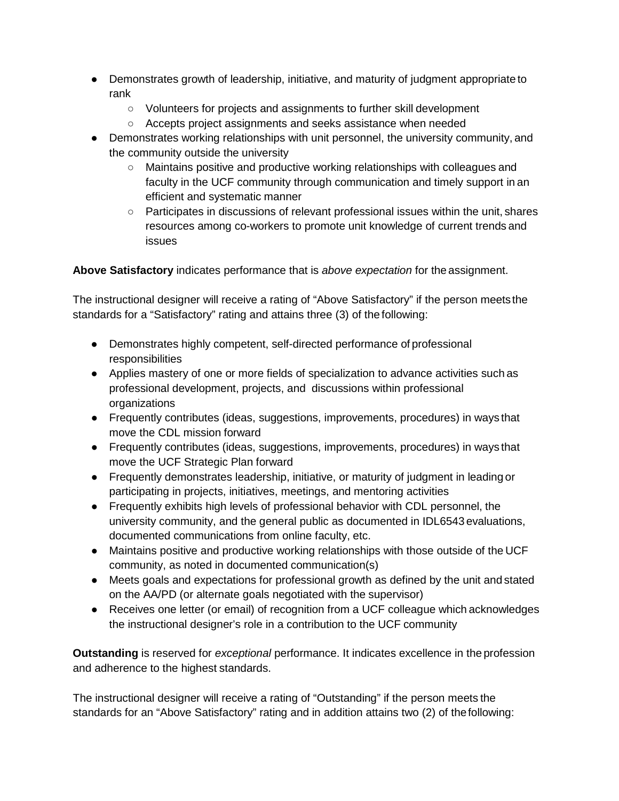- Demonstrates growth of leadership, initiative, and maturity of judgment appropriate to rank
	- Volunteers for projects and assignments to further skill development
	- Accepts project assignments and seeks assistance when needed
- Demonstrates working relationships with unit personnel, the university community, and the community outside the university
	- Maintains positive and productive working relationships with colleagues and faculty in the UCF community through communication and timely support in an efficient and systematic manner
	- Participates in discussions of relevant professional issues within the unit, shares resources among co-workers to promote unit knowledge of current trends and issues

**Above Satisfactory** indicates performance that is *above expectation* for the assignment.

The instructional designer will receive a rating of "Above Satisfactory" if the person meetsthe standards for a "Satisfactory" rating and attains three (3) of the following:

- Demonstrates highly competent, self-directed performance of professional responsibilities
- Applies mastery of one or more fields of specialization to advance activities such as professional development, projects, and discussions within professional organizations
- Frequently contributes (ideas, suggestions, improvements, procedures) in ways that move the CDL mission forward
- Frequently contributes (ideas, suggestions, improvements, procedures) in ways that move the UCF Strategic Plan forward
- Frequently demonstrates leadership, initiative, or maturity of judgment in leading or participating in projects, initiatives, meetings, and mentoring activities
- Frequently exhibits high levels of professional behavior with CDL personnel, the university community, and the general public as documented in IDL6543 evaluations, documented communications from online faculty, etc.
- Maintains positive and productive working relationships with those outside of the UCF community, as noted in documented communication(s)
- Meets goals and expectations for professional growth as defined by the unit and stated on the AA/PD (or alternate goals negotiated with the supervisor)
- Receives one letter (or email) of recognition from a UCF colleague which acknowledges the instructional designer's role in a contribution to the UCF community

**Outstanding** is reserved for *exceptional* performance. It indicates excellence in the profession and adherence to the highest standards.

The instructional designer will receive a rating of "Outstanding" if the person meets the standards for an "Above Satisfactory" rating and in addition attains two (2) of thefollowing: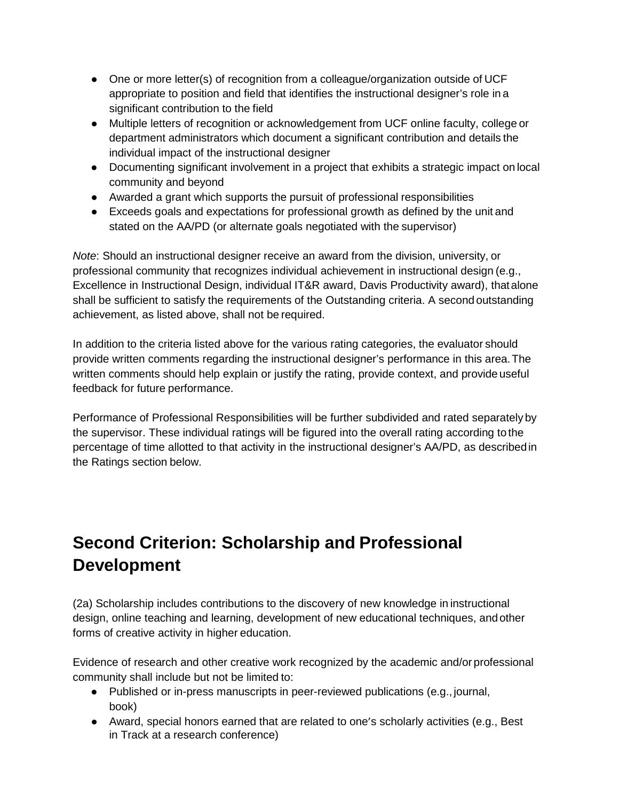- One or more letter(s) of recognition from a colleague/organization outside of UCF appropriate to position and field that identifies the instructional designer's role in a significant contribution to the field
- Multiple letters of recognition or acknowledgement from UCF online faculty, college or department administrators which document a significant contribution and details the individual impact of the instructional designer
- Documenting significant involvement in a project that exhibits a strategic impact on local community and beyond
- Awarded a grant which supports the pursuit of professional responsibilities
- Exceeds goals and expectations for professional growth as defined by the unit and stated on the AA/PD (or alternate goals negotiated with the supervisor)

*Note*: Should an instructional designer receive an award from the division, university, or professional community that recognizes individual achievement in instructional design (e.g., Excellence in Instructional Design, individual IT&R award, Davis Productivity award), thatalone shall be sufficient to satisfy the requirements of the Outstanding criteria. A second outstanding achievement, as listed above, shall not be required.

In addition to the criteria listed above for the various rating categories, the evaluator should provide written comments regarding the instructional designer's performance in this area.The written comments should help explain or justify the rating, provide context, and provide useful feedback for future performance.

Performance of Professional Responsibilities will be further subdivided and rated separately by the supervisor. These individual ratings will be figured into the overall rating according to the percentage of time allotted to that activity in the instructional designer's AA/PD, as describedin the Ratings section below.

# **Second Criterion: Scholarship and Professional Development**

(2a) Scholarship includes contributions to the discovery of new knowledge in instructional design, online teaching and learning, development of new educational techniques, and other forms of creative activity in higher education.

Evidence of research and other creative work recognized by the academic and/or professional community shall include but not be limited to:

- Published or in-press manuscripts in peer-reviewed publications (e.g., journal, book)
- Award, special honors earned that are related to one's scholarly activities (e.g., Best in Track at a research conference)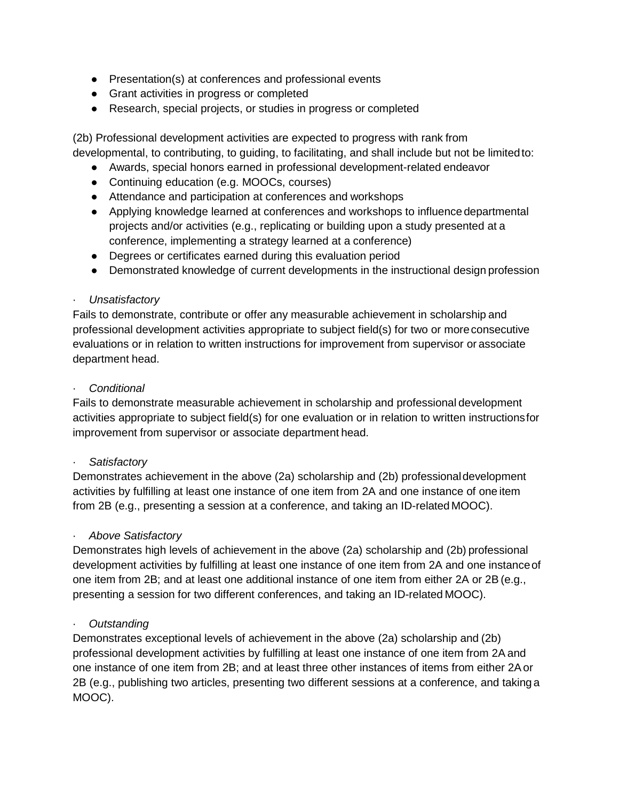- Presentation(s) at conferences and professional events
- Grant activities in progress or completed
- Research, special projects, or studies in progress or completed

(2b) Professional development activities are expected to progress with rank from developmental, to contributing, to guiding, to facilitating, and shall include but not be limitedto:

- Awards, special honors earned in professional development-related endeavor
- Continuing education (e.g. MOOCs, courses)
- Attendance and participation at conferences and workshops
- Applying knowledge learned at conferences and workshops to influence departmental projects and/or activities (e.g., replicating or building upon a study presented at a conference, implementing a strategy learned at a conference)
- Degrees or certificates earned during this evaluation period
- Demonstrated knowledge of current developments in the instructional design profession

#### · *Unsatisfactory*

Fails to demonstrate, contribute or offer any measurable achievement in scholarship and professional development activities appropriate to subject field(s) for two or moreconsecutive evaluations or in relation to written instructions for improvement from supervisor or associate department head.

#### · *Conditional*

Fails to demonstrate measurable achievement in scholarship and professional development activities appropriate to subject field(s) for one evaluation or in relation to written instructionsfor improvement from supervisor or associate department head.

#### · *Satisfactory*

Demonstrates achievement in the above (2a) scholarship and (2b) professionaldevelopment activities by fulfilling at least one instance of one item from 2A and one instance of one item from 2B (e.g., presenting a session at a conference, and taking an ID-related MOOC).

#### · *Above Satisfactory*

Demonstrates high levels of achievement in the above (2a) scholarship and (2b) professional development activities by fulfilling at least one instance of one item from 2A and one instanceof one item from 2B; and at least one additional instance of one item from either 2A or 2B (e.g., presenting a session for two different conferences, and taking an ID-related MOOC).

#### · *Outstanding*

Demonstrates exceptional levels of achievement in the above (2a) scholarship and (2b) professional development activities by fulfilling at least one instance of one item from 2A and one instance of one item from 2B; and at least three other instances of items from either 2Aor 2B (e.g., publishing two articles, presenting two different sessions at a conference, and taking a MOOC).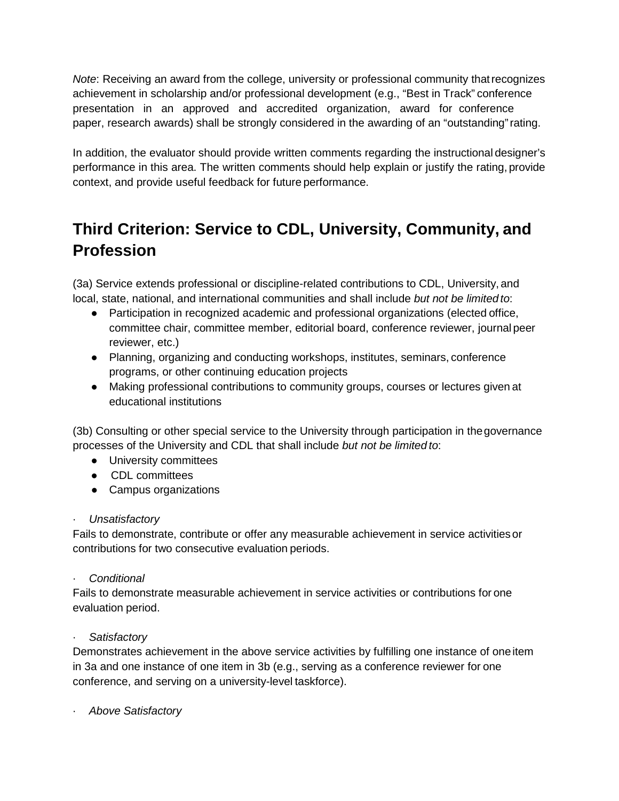*Note*: Receiving an award from the college, university or professional community thatrecognizes achievement in scholarship and/or professional development (e.g., "Best in Track" conference presentation in an approved and accredited organization, award for conference paper, research awards) shall be strongly considered in the awarding of an "outstanding"rating.

In addition, the evaluator should provide written comments regarding the instructional designer's performance in this area. The written comments should help explain or justify the rating, provide context, and provide useful feedback for future performance.

## **Third Criterion: Service to CDL, University, Community, and Profession**

(3a) Service extends professional or discipline-related contributions to CDL, University, and local, state, national, and international communities and shall include *but not be limited to*:

- Participation in recognized academic and professional organizations (elected office, committee chair, committee member, editorial board, conference reviewer, journal peer reviewer, etc.)
- Planning, organizing and conducting workshops, institutes, seminars, conference programs, or other continuing education projects
- Making professional contributions to community groups, courses or lectures given at educational institutions

(3b) Consulting or other special service to the University through participation in thegovernance processes of the University and CDL that shall include *but not be limited to*:

- University committees
- CDL committees
- Campus organizations

#### · *Unsatisfactory*

Fails to demonstrate, contribute or offer any measurable achievement in service activitiesor contributions for two consecutive evaluation periods.

· *Conditional*

Fails to demonstrate measurable achievement in service activities or contributions for one evaluation period.

#### · *Satisfactory*

Demonstrates achievement in the above service activities by fulfilling one instance of oneitem in 3a and one instance of one item in 3b (e.g., serving as a conference reviewer for one conference, and serving on a university-level taskforce).

· *Above Satisfactory*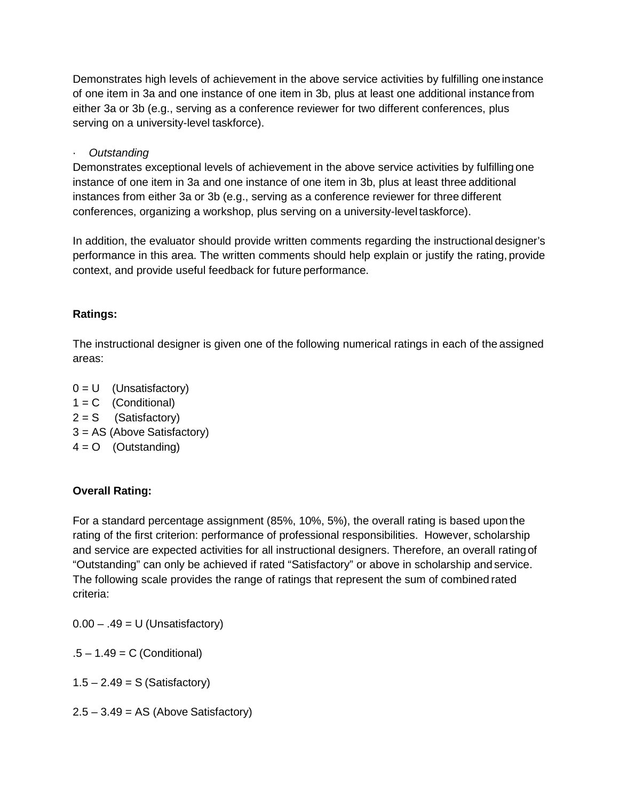Demonstrates high levels of achievement in the above service activities by fulfilling oneinstance of one item in 3a and one instance of one item in 3b, plus at least one additional instance from either 3a or 3b (e.g., serving as a conference reviewer for two different conferences, plus serving on a university-level taskforce).

· *Outstanding*

Demonstrates exceptional levels of achievement in the above service activities by fulfilling one instance of one item in 3a and one instance of one item in 3b, plus at least three additional instances from either 3a or 3b (e.g., serving as a conference reviewer for three different conferences, organizing a workshop, plus serving on a university-level taskforce).

In addition, the evaluator should provide written comments regarding the instructional designer's performance in this area. The written comments should help explain or justify the rating, provide context, and provide useful feedback for future performance.

#### **Ratings:**

The instructional designer is given one of the following numerical ratings in each of the assigned areas:

 $0 = U$  (Unsatisfactory)  $1 = C$  (Conditional)  $2 = S$  (Satisfactory) 3 = AS (Above Satisfactory)  $4 = 0$  (Outstanding)

### **Overall Rating:**

For a standard percentage assignment (85%, 10%, 5%), the overall rating is based upon the rating of the first criterion: performance of professional responsibilities. However, scholarship and service are expected activities for all instructional designers. Therefore, an overall ratingof "Outstanding" can only be achieved if rated "Satisfactory" or above in scholarship and service. The following scale provides the range of ratings that represent the sum of combined rated criteria:

 $0.00 - .49 = U$  (Unsatisfactory)

 $.5 - 1.49 = C$  (Conditional)

 $1.5 - 2.49 = S$  (Satisfactory)

 $2.5 - 3.49 = AS$  (Above Satisfactory)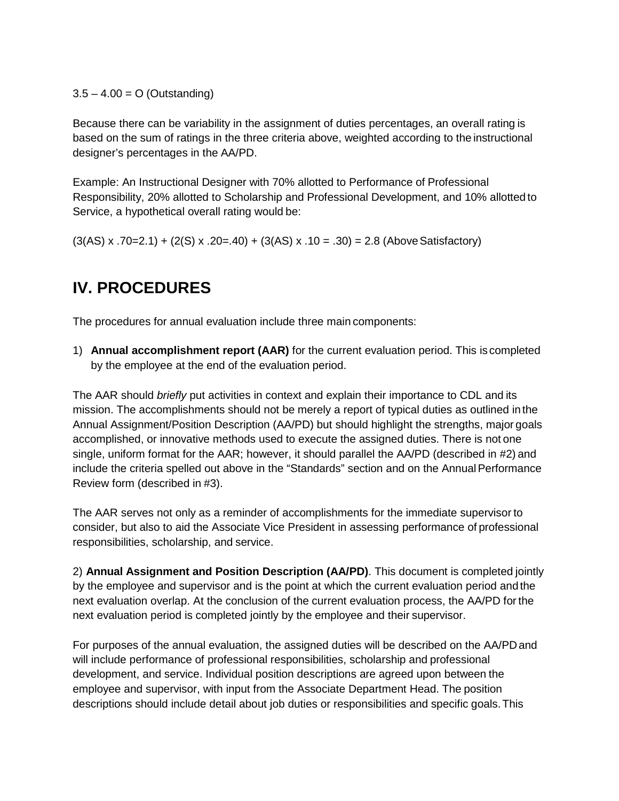$3.5 - 4.00 = O$  (Outstanding)

Because there can be variability in the assignment of duties percentages, an overall rating is based on the sum of ratings in the three criteria above, weighted according to the instructional designer's percentages in the AA/PD.

Example: An Instructional Designer with 70% allotted to Performance of Professional Responsibility, 20% allotted to Scholarship and Professional Development, and 10% allotted to Service, a hypothetical overall rating would be:

 $(3(AS) \times .70=2.1) + (2(S) \times .20=.40) + (3(AS) \times .10=.30) = 2.8$  (Above Satisfactory)

### **IV. PROCEDURES**

The procedures for annual evaluation include three main components:

1) **Annual accomplishment report (AAR)** for the current evaluation period. This is completed by the employee at the end of the evaluation period.

The AAR should *briefly* put activities in context and explain their importance to CDL and its mission. The accomplishments should not be merely a report of typical duties as outlined inthe Annual Assignment/Position Description (AA/PD) but should highlight the strengths, major goals accomplished, or innovative methods used to execute the assigned duties. There is not one single, uniform format for the AAR; however, it should parallel the AA/PD (described in #2) and include the criteria spelled out above in the "Standards" section and on the Annual Performance Review form (described in #3).

The AAR serves not only as a reminder of accomplishments for the immediate supervisor to consider, but also to aid the Associate Vice President in assessing performance of professional responsibilities, scholarship, and service.

2) **Annual Assignment and Position Description (AA/PD)**. This document is completed jointly by the employee and supervisor and is the point at which the current evaluation period andthe next evaluation overlap. At the conclusion of the current evaluation process, the AA/PD forthe next evaluation period is completed jointly by the employee and their supervisor.

For purposes of the annual evaluation, the assigned duties will be described on the AA/PDand will include performance of professional responsibilities, scholarship and professional development, and service. Individual position descriptions are agreed upon between the employee and supervisor, with input from the Associate Department Head. The position descriptions should include detail about job duties or responsibilities and specific goals.This